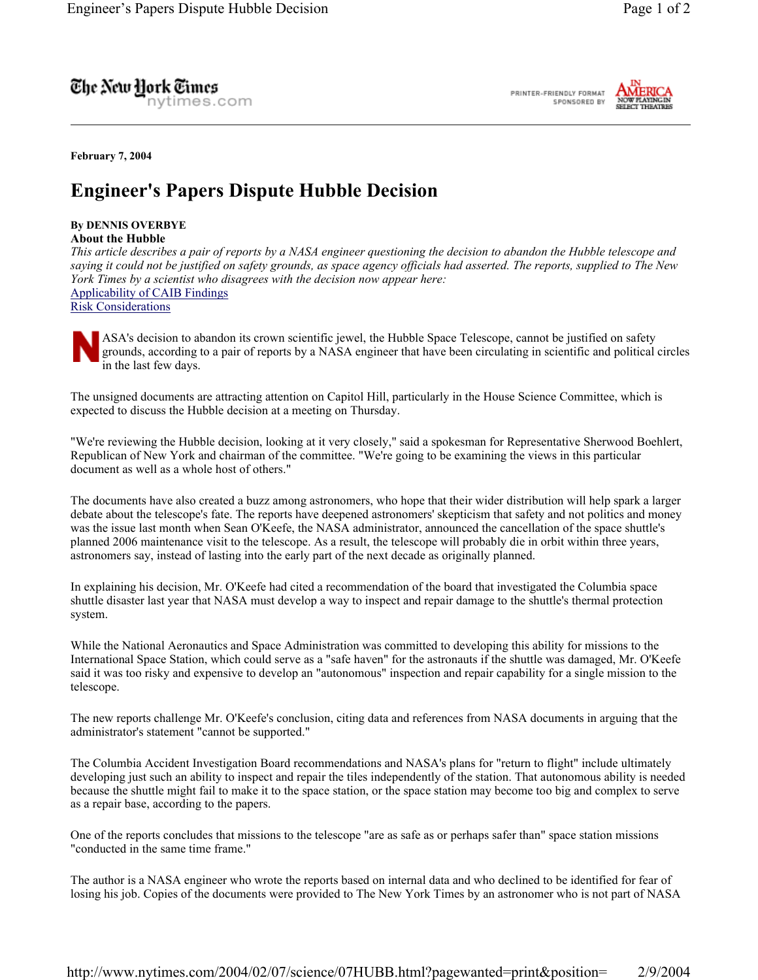The New Hork Times

nytimes.com





**February 7, 2004** 

## **Engineer's Papers Dispute Hubble Decision**

## **By DENNIS OVERBYE**

## **About the Hubble**

*This article describes a pair of reports by a NASA engineer questioning the decision to abandon the Hubble telescope and saying it could not be justified on safety grounds, as space agency officials had asserted. The reports, supplied to The New York Times by a scientist who disagrees with the decision now appear here:* Applicability of CAIB Findings

Risk Considerations



ASA's decision to abandon its crown scientific jewel, the Hubble Space Telescope, cannot be justified on safety grounds, according to a pair of reports by a NASA engineer that have been circulating in scientific and political circles in the last few days.

The unsigned documents are attracting attention on Capitol Hill, particularly in the House Science Committee, which is expected to discuss the Hubble decision at a meeting on Thursday.

"We're reviewing the Hubble decision, looking at it very closely," said a spokesman for Representative Sherwood Boehlert, Republican of New York and chairman of the committee. "We're going to be examining the views in this particular document as well as a whole host of others."

The documents have also created a buzz among astronomers, who hope that their wider distribution will help spark a larger debate about the telescope's fate. The reports have deepened astronomers' skepticism that safety and not politics and money was the issue last month when Sean O'Keefe, the NASA administrator, announced the cancellation of the space shuttle's planned 2006 maintenance visit to the telescope. As a result, the telescope will probably die in orbit within three years, astronomers say, instead of lasting into the early part of the next decade as originally planned.

In explaining his decision, Mr. O'Keefe had cited a recommendation of the board that investigated the Columbia space shuttle disaster last year that NASA must develop a way to inspect and repair damage to the shuttle's thermal protection system.

While the National Aeronautics and Space Administration was committed to developing this ability for missions to the International Space Station, which could serve as a "safe haven" for the astronauts if the shuttle was damaged, Mr. O'Keefe said it was too risky and expensive to develop an "autonomous" inspection and repair capability for a single mission to the telescope.

The new reports challenge Mr. O'Keefe's conclusion, citing data and references from NASA documents in arguing that the administrator's statement "cannot be supported."

The Columbia Accident Investigation Board recommendations and NASA's plans for "return to flight" include ultimately developing just such an ability to inspect and repair the tiles independently of the station. That autonomous ability is needed because the shuttle might fail to make it to the space station, or the space station may become too big and complex to serve as a repair base, according to the papers.

One of the reports concludes that missions to the telescope "are as safe as or perhaps safer than" space station missions "conducted in the same time frame."

The author is a NASA engineer who wrote the reports based on internal data and who declined to be identified for fear of losing his job. Copies of the documents were provided to The New York Times by an astronomer who is not part of NASA